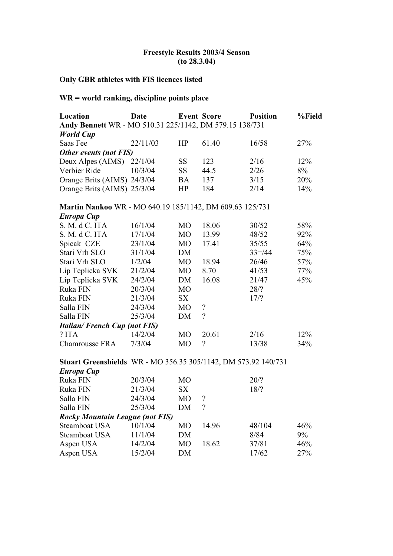### **Freestyle Results 2003/4 Season (to 28.3.04)**

# **Only GBR athletes with FIS licences listed**

# **WR = world ranking, discipline points place**

| Location                                                       | Date     | <b>Event Score</b> |                          | <b>Position</b> | %Field |
|----------------------------------------------------------------|----------|--------------------|--------------------------|-----------------|--------|
| Andy Bennett WR - MO 510.31 225/1142, DM 579.15 138/731        |          |                    |                          |                 |        |
| <b>World Cup</b>                                               |          |                    |                          |                 |        |
| Saas Fee                                                       | 22/11/03 | HP                 | 61.40                    | 16/58           | 27%    |
| Other events (not FIS)                                         |          |                    |                          |                 |        |
| Deux Alpes (AIMS) 22/1/04                                      |          | <b>SS</b>          | 123                      | 2/16            | 12%    |
| Verbier Ride                                                   | 10/3/04  | <b>SS</b>          | 44.5                     | 2/26            | 8%     |
| Orange Brits (AIMS) 24/3/04                                    |          | <b>BA</b>          | 137                      | 3/15            | 20%    |
| Orange Brits (AIMS) 25/3/04                                    |          | HP                 | 184                      | 2/14            | 14%    |
| Martin Nankoo WR - MO 640.19 185/1142, DM 609.63 125/731       |          |                    |                          |                 |        |
| Europa Cup                                                     |          |                    |                          |                 |        |
| S. M. d C. ITA                                                 | 16/1/04  | M <sub>O</sub>     | 18.06                    | 30/52           | 58%    |
| S. M. d C. ITA                                                 | 17/1/04  | M <sub>O</sub>     | 13.99                    | 48/52           | 92%    |
| Spicak CZE                                                     | 23/1/04  | <b>MO</b>          | 17.41                    | 35/55           | 64%    |
| Stari Vrh SLO                                                  | 31/1/04  | DM                 |                          | $33 = 44$       | 75%    |
| Stari Vrh SLO                                                  | 1/2/04   | <b>MO</b>          | 18.94                    | 26/46           | 57%    |
| Lip Teplicka SVK                                               | 21/2/04  | M <sub>O</sub>     | 8.70                     | 41/53           | 77%    |
| Lip Teplicka SVK                                               | 24/2/04  | DM                 | 16.08                    | 21/47           | 45%    |
| Ruka FIN                                                       | 20/3/04  | M <sub>O</sub>     |                          | 28/?            |        |
| Ruka FIN                                                       | 21/3/04  | <b>SX</b>          |                          | 17/2            |        |
| Salla FIN                                                      | 24/3/04  | M <sub>O</sub>     | $\gamma$                 |                 |        |
| Salla FIN                                                      | 25/3/04  | DM                 | $\gamma$                 |                 |        |
| <b>Italian/French Cup (not FIS)</b>                            |          |                    |                          |                 |        |
| $?$ ITA                                                        | 14/2/04  | M <sub>O</sub>     | 20.61                    | 2/16            | 12%    |
| Chamrousse FRA                                                 | 7/3/04   | M <sub>O</sub>     | $\gamma$                 | 13/38           | 34%    |
| Stuart Greenshields WR - MO 356.35 305/1142, DM 573.92 140/731 |          |                    |                          |                 |        |
| Europa Cup                                                     |          |                    |                          |                 |        |
| Ruka FIN                                                       | 20/3/04  | M <sub>O</sub>     |                          | 20/?            |        |
| Ruka FIN                                                       | 21/3/04  | <b>SX</b>          |                          | 18/2            |        |
| Salla FIN                                                      | 24/3/04  | M <sub>O</sub>     | $\overline{\mathcal{L}}$ |                 |        |
| Salla FIN                                                      | 25/3/04  | DM                 | $\overline{\mathcal{C}}$ |                 |        |
| <b>Rocky Mountain League (not FIS)</b>                         |          |                    |                          |                 |        |
| Steamboat USA                                                  | 10/1/04  | M <sub>O</sub>     | 14.96                    | 48/104          | 46%    |
| Steamboat USA                                                  | 11/1/04  | DM                 |                          | 8/84            | 9%     |
| Aspen USA                                                      | 14/2/04  | MO                 | 18.62                    | 37/81           | 46%    |
| Aspen USA                                                      | 15/2/04  | DM                 |                          | 17/62           | 27%    |